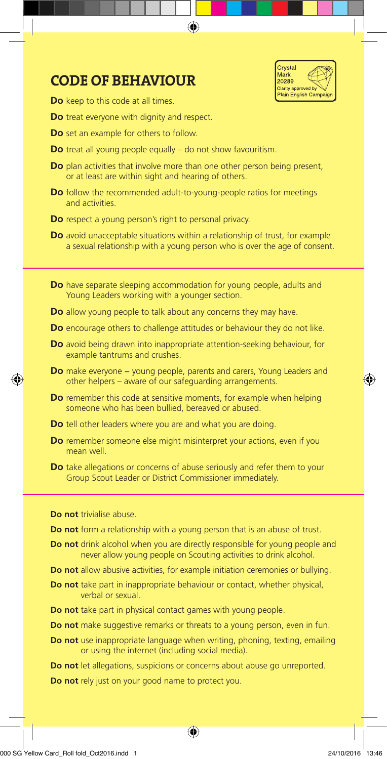

# CODE OF BEHAVIOUR

**Do** keep to this code at all times.

**Do** treat everyone with dignity and respect.

- **Do** set an example for others to follow.
- **Do** treat all young people equally do not show favouritism.
- **Do** plan activities that involve more than one other person being present, or at least are within sight and hearing of others.

♠

- **Do** follow the recommended adult-to-young-people ratios for meetings and activities.
- **Do** respect a young person's right to personal privacy.
- **Do** avoid unacceptable situations within a relationship of trust, for example a sexual relationship with a young person who is over the age of consent.
- **Do** have separate sleeping accommodation for young people, adults and Young Leaders working with a younger section.
- **Do** allow young people to talk about any concerns they may have.
- **Do** encourage others to challenge attitudes or behaviour they do not like.
- **Do** avoid being drawn into inappropriate attention-seeking behaviour, for example tantrums and crushes.
- **Do** make everyone young people, parents and carers, Young Leaders and other helpers – aware of our safeguarding arrangements.
- **Do** remember this code at sensitive moments, for example when helping someone who has been bullied, bereaved or abused.
- **Do** tell other leaders where you are and what you are doing.
- **Do** remember someone else might misinterpret your actions, even if you mean well.
- **Do** take allegations or concerns of abuse seriously and refer them to your Group Scout Leader or District Commissioner immediately.

**Do not** trivialise abuse.

⊕

- **Do not** form a relationship with a young person that is an abuse of trust.
- **Do not** drink alcohol when you are directly responsible for young people and never allow young people on Scouting activities to drink alcohol.
- **Do not** allow abusive activities, for example initiation ceremonies or bullying.
- **Do not** take part in inappropriate behaviour or contact, whether physical, verbal or sexual.
- **Do not** take part in physical contact games with young people.
- **Do not** make suggestive remarks or threats to a young person, even in fun.
- **Do not** use inappropriate language when writing, phoning, texting, emailing or using the internet (including social media).

⊕

**Do not** let allegations, suspicions or concerns about abuse go unreported.

**Do not** rely just on your good name to protect you.